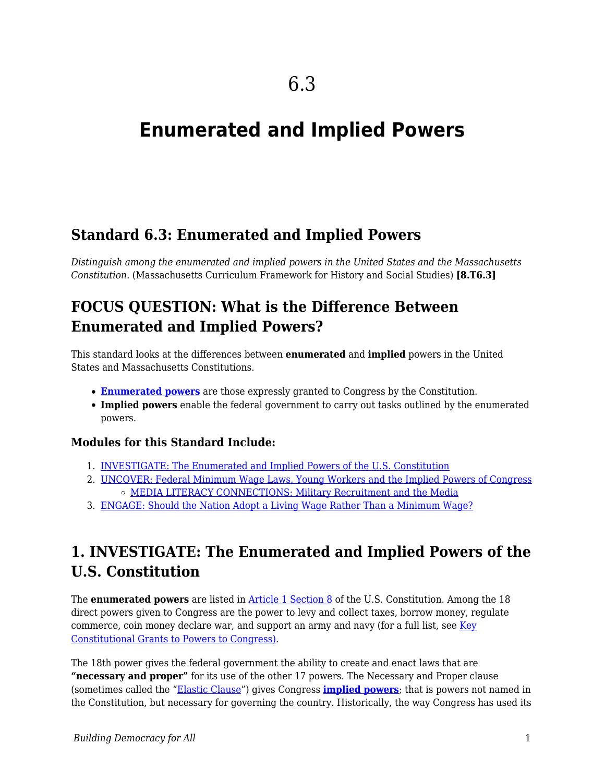# **Enumerated and Implied Powers**

## **Standard 6.3: Enumerated and Implied Powers**

*Distinguish among the enumerated and implied powers in the United States and the Massachusetts Constitution.* (Massachusetts Curriculum Framework for History and Social Studies) **[8.T6.3]**

## **FOCUS QUESTION: What is the Difference Between Enumerated and Implied Powers?**

This standard looks at the differences between **enumerated** and **implied** powers in the United States and Massachusetts Constitutions.

- **[Enumerated powers](https://www.pbs.org/tpt/constitution-usa-peter-sagal/federalism/enumerated-powers/)** are those expressly granted to Congress by the Constitution.
- **Implied powers** enable the federal government to carry out tasks outlined by the enumerated powers.

### **Modules for this Standard Include:**

- 1. [INVESTIGATE: The Enumerated and Implied Powers of the U.S. Constitution](https://edtechbooks.org/democracy/powers#h3_uUjvi)
- 2. [UNCOVER: Federal Minimum Wage Laws, Young Workers and the Implied Powers of Congress](https://edtechbooks.org/democracy/powers#h3_nZejP) [MEDIA LITERACY CONNECTIONS: Military Recruitment and the Media](https://edtechbooks.org/democracy/powers#h3_iDaF)
- 3. [ENGAGE: Should the Nation Adopt a Living Wage Rather Than a Minimum Wage?](https://edtechbooks.org/democracy/powers#h3_bVGnr)

## **1. INVESTIGATE: The Enumerated and Implied Powers of the U.S. Constitution**

The **enumerated powers** are listed in [Article 1 Section 8](http://www.annenbergclassroom.org/page/article-i-section-8) of the U.S. Constitution. Among the 18 direct powers given to Congress are the power to levy and collect taxes, borrow money, regulate commerce, coin money declare war, and support an army and navy (for a full list, see [Key](http://law2.umkc.edu/faculty/projects/ftrials/conlaw/congpowers.htm) [Constitutional Grants to Powers to Congress\)](http://law2.umkc.edu/faculty/projects/ftrials/conlaw/congpowers.htm).

The 18th power gives the federal government the ability to create and enact laws that are **"necessary and proper"** for its use of the other 17 powers. The Necessary and Proper clause (sometimes called the ["Elastic Clause](https://legaldictionary.net/elastic-clause/)") gives Congress **[implied powers](https://www.thoughtco.com/implied-powers-of-congress-4111399)**; that is powers not named in the Constitution, but necessary for governing the country. Historically, the way Congress has used its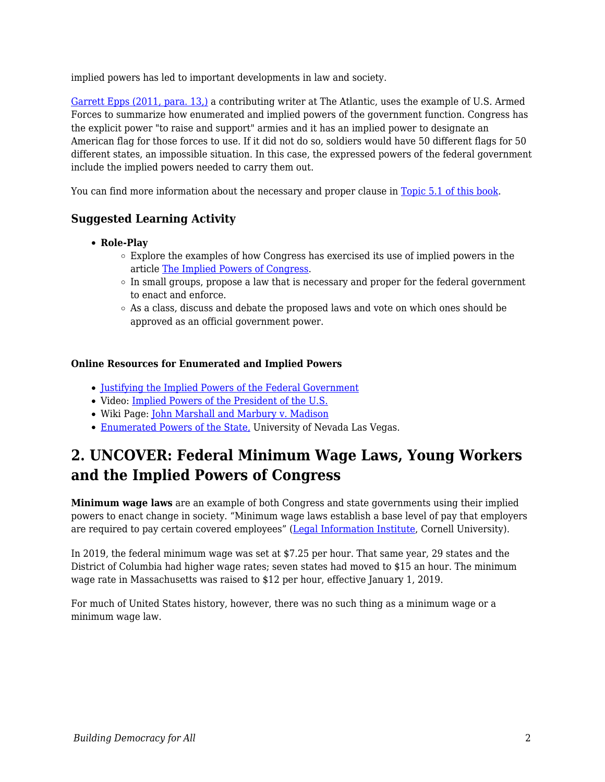implied powers has led to important developments in law and society.

[Garrett Epps \(2011, para. 13,\)](https://www.theatlantic.com/national/archive/2011/07/constitutional-myth-7-the-10th-amendment-protects-states-rights/241671/) a contributing writer at The Atlantic, uses the example of U.S. Armed Forces to summarize how enumerated and implied powers of the government function. Congress has the explicit power "to raise and support" armies and it has an implied power to designate an American flag for those forces to use. If it did not do so, soldiers would have 50 different flags for 50 different states, an impossible situation. In this case, the expressed powers of the federal government include the implied powers needed to carry them out.

You can find more information about the necessary and proper clause in [Topic 5.1 of this book](https://edtechbooks.org/democracy/properclause).

### **Suggested Learning Activity**

- **Role-Play**
	- Explore the examples of how Congress has exercised its use of implied powers in the article [The Implied Powers of Congress](https://www.thoughtco.com/implied-powers-of-congress-4111399).
	- o In small groups, propose a law that is necessary and proper for the federal government to enact and enforce.
	- $\circ$  As a class, discuss and debate the proposed laws and vote on which ones should be approved as an official government power.

#### **Online Resources for Enumerated and Implied Powers**

- [Justifying the Implied Powers of the Federal Government](http://landmarkcases.org/en/Page/375/Justifying_the_Implied_Powers_of_the_Federal_Government)
- Video: [Implied Powers of the President of the U.S.](https://study.com/academy/lesson/implied-powers-of-the-president-of-the-us.html)
- Wiki Page: [John Marshall and Marbury v. Madison](http://resourcesforhistoryteachers.pbworks.com/w/page/125174390/John%20Marshall%20and%20Marbury%20v%20Madison)
- [Enumerated Powers of the State,](http://scholars.law.unlv.edu/cgi/viewcontent.cgi?article=1270&context=nlj) University of Nevada Las Vegas.

## **2. UNCOVER: Federal Minimum Wage Laws, Young Workers and the Implied Powers of Congress**

**Minimum wage laws** are an example of both Congress and state governments using their implied powers to enact change in society. "Minimum wage laws establish a base level of pay that employers are required to pay certain covered employees" ([Legal Information Institute](https://www.law.cornell.edu/wex/minimum_wage), Cornell University).

In 2019, the federal minimum wage was set at \$7.25 per hour. That same year, 29 states and the District of Columbia had higher wage rates; seven states had moved to \$15 an hour. The minimum wage rate in Massachusetts was raised to \$12 per hour, effective January 1, 2019.

For much of United States history, however, there was no such thing as a minimum wage or a minimum wage law.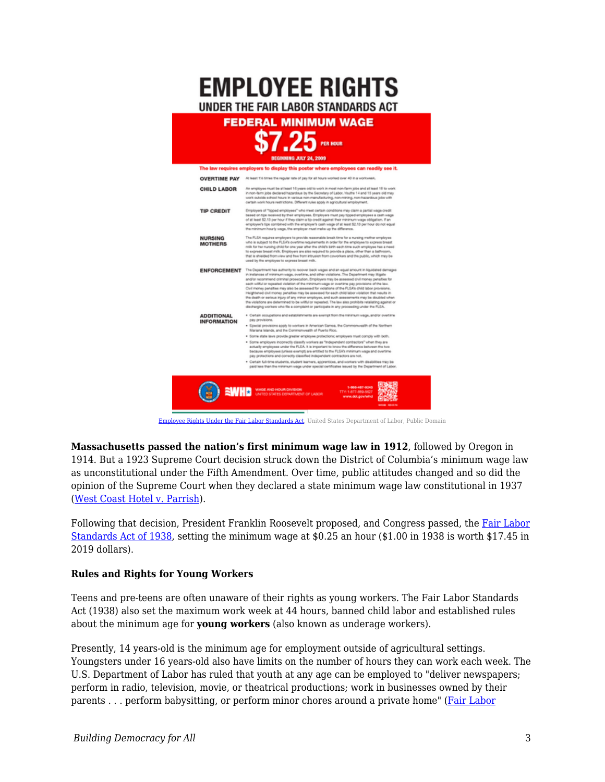

[Employee Rights Under the Fair Labor Standards Act,](https://commons.wikimedia.org/w/index.php?search=minimum+wage+laws&title=Special%3ASearch&go=Go&ns0=1&ns6=1&ns12=1&ns14=1&ns100=1&ns106=1#/media/File:FLSA_Minimum_Wage_Poster-2016.png) United States Department of Labor, Public Domain

**Massachusetts passed the nation's first minimum wage law in 1912**, followed by Oregon in 1914. But a 1923 Supreme Court decision struck down the District of Columbia's minimum wage law as unconstitutional under the Fifth Amendment. Over time, public attitudes changed and so did the opinion of the Supreme Court when they declared a state minimum wage law constitutional in 1937 ([West Coast Hotel v. Parrish\)](https://www.thirteen.org/wnet/supremecourt/capitalism/landmark_westcoast.html).

Following that decision, President Franklin Roosevelt proposed, and Congress passed, the [Fair Labor](https://www.dol.gov/general/aboutdol/history/flsa1938) [Standards Act of 1938](https://www.dol.gov/general/aboutdol/history/flsa1938), setting the minimum wage at \$0.25 an hour (\$1.00 in 1938 is worth \$17.45 in 2019 dollars).

#### **Rules and Rights for Young Workers**

Teens and pre-teens are often unaware of their rights as young workers. The Fair Labor Standards Act (1938) also set the maximum work week at 44 hours, banned child labor and established rules about the minimum age for **young workers** (also known as underage workers).

Presently, 14 years-old is the minimum age for employment outside of agricultural settings. Youngsters under 16 years-old also have limits on the number of hours they can work each week. The U.S. Department of Labor has ruled that youth at any age can be employed to "deliver newspapers; perform in radio, television, movie, or theatrical productions; work in businesses owned by their parents . . . perform babysitting, or perform minor chores around a private home" [\(Fair Labor](https://webapps.dol.gov/elaws/faq/esa/flsa/026.htm?_ga=2.145449207.274151281.1611857978-1961273432.1566925452)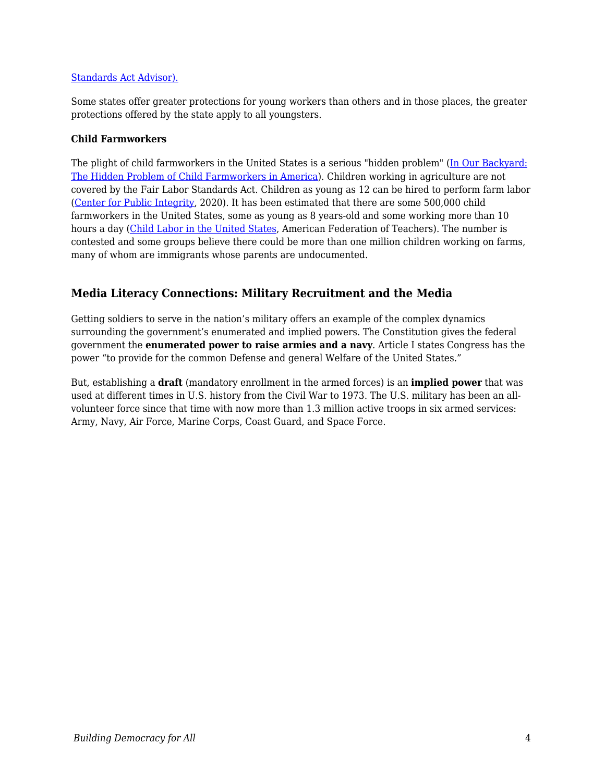#### [Standards Act Advisor\).](https://webapps.dol.gov/elaws/faq/esa/flsa/026.htm?_ga=2.145449207.274151281.1611857978-1961273432.1566925452)

Some states offer greater protections for young workers than others and in those places, the greater protections offered by the state apply to all youngsters.

#### **Child Farmworkers**

The plight of child farmworkers in the United States is a serious "hidden problem" [\(In Our Backyard:](http://ourownbackyard.org/introduction.shtml) [The Hidden Problem of Child Farmworkers in America\)](http://ourownbackyard.org/introduction.shtml). Children working in agriculture are not covered by the Fair Labor Standards Act. Children as young as 12 can be hired to perform farm labor ([Center for Public Integrity,](https://publicintegrity.org/inequality-poverty-opportunity/immigration/immigration-employment/child-farmworkers-labor-laws/) 2020). It has been estimated that there are some 500,000 child farmworkers in the United States, some as young as 8 years-old and some working more than 10 hours a day ([Child Labor in the United States,](https://www.aft.org/community/child-labor-united-states) American Federation of Teachers). The number is contested and some groups believe there could be more than one million children working on farms, many of whom are immigrants whose parents are undocumented.

### **Media Literacy Connections: Military Recruitment and the Media**

Getting soldiers to serve in the nation's military offers an example of the complex dynamics surrounding the government's enumerated and implied powers. The Constitution gives the federal government the **enumerated power to raise armies and a navy**. Article I states Congress has the power "to provide for the common Defense and general Welfare of the United States."

But, establishing a **draft** (mandatory enrollment in the armed forces) is an **implied power** that was used at different times in U.S. history from the Civil War to 1973. The U.S. military has been an allvolunteer force since that time with now more than 1.3 million active troops in six armed services: Army, Navy, Air Force, Marine Corps, Coast Guard, and Space Force.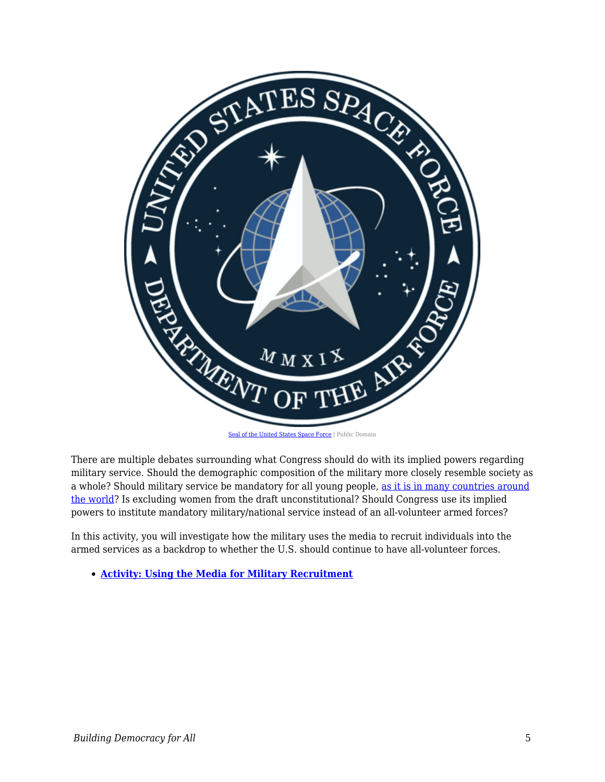

There are multiple debates surrounding what Congress should do with its implied powers regarding military service. Should the demographic composition of the military more closely resemble society as a whole? Should military service be mandatory for all young people, [as it is in many countries around](https://worldpopulationreview.com/country-rankings/countries-with-mandatory-military-service) [the world?](https://worldpopulationreview.com/country-rankings/countries-with-mandatory-military-service) Is excluding women from the draft unconstitutional? Should Congress use its implied powers to institute mandatory military/national service instead of an all-volunteer armed forces?

In this activity, you will investigate how the military uses the media to recruit individuals into the armed services as a backdrop to whether the U.S. should continue to have all-volunteer forces.

**[Activity: Using the Media for Military Recruitment](https://edtechbooks.org/mediaandciviclearning/military_recruitment)**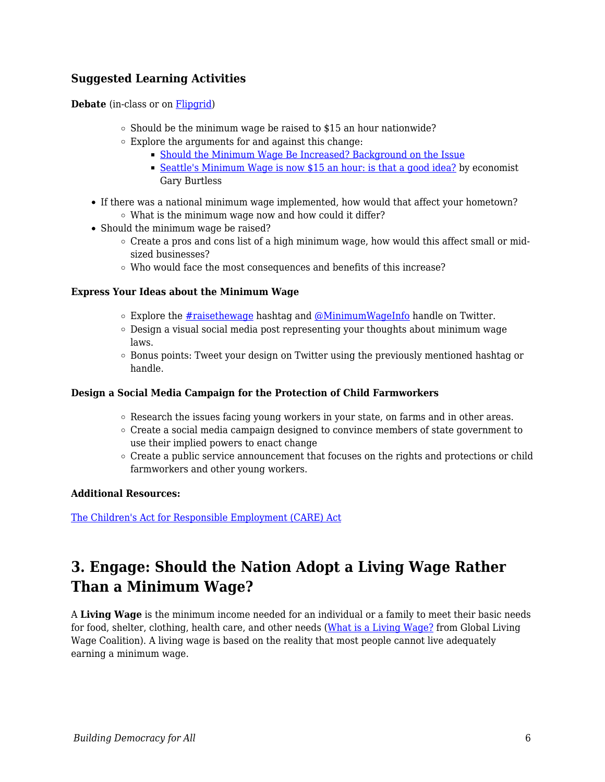### **Suggested Learning Activities**

**Debate** (in-class or on [Flipgrid](https://info.flipgrid.com/))

- $\circ$  Should be the minimum wage be raised to \$15 an hour nationwide?
- $\circ$  Explore the arguments for and against this change:
	- [Should the Minimum Wage Be Increased? Background on the Issue](http://minimum-wage.procon.org/view.resource.php?resourceID=006456)
	- [Seattle's Minimum Wage is now \\$15 an hour: is that a good idea?](http://www.brookings.edu/blogs/up-front/posts/2014/06/09-seattle-15-minimum-wage-good-idea-burtless) by economist Gary Burtless
- If there was a national minimum wage implemented, how would that affect your hometown? What is the minimum wage now and how could it differ?
- Should the minimum wage be raised?
	- $\circ$  Create a pros and cons list of a high minimum wage, how would this affect small or midsized businesses?
	- Who would face the most consequences and benefits of this increase?

#### **Express Your Ideas about the Minimum Wage**

- $\circ$  Explore the [#raisethewage](https://twitter.com/hashtag/raisethewage?lang=en) hashtag and [@MinimumWageInfo](https://twitter.com/minimumwageinfo?lang=en) handle on Twitter.
- $\circ$  Design a visual social media post representing your thoughts about minimum wage laws.
- $\circ$  Bonus points: Tweet your design on Twitter using the previously mentioned hashtag or handle.

#### **Design a Social Media Campaign for the Protection of Child Farmworkers**

- $\circ$  Research the issues facing young workers in your state, on farms and in other areas.
- $\circ$  Create a social media campaign designed to convince members of state government to use their implied powers to enact change
- $\circ$  Create a public service announcement that focuses on the rights and protections or child farmworkers and other young workers.

#### **Additional Resources:**

[The Children's Act for Responsible Employment \(CARE\) Act](https://campaignforchildren.org/wp-content/uploads/sites/2/2011/06/CAREAct.pdf)

## **3. Engage: Should the Nation Adopt a Living Wage Rather Than a Minimum Wage?**

A **Living Wage** is the minimum income needed for an individual or a family to meet their basic needs for food, shelter, clothing, health care, and other needs ([What is a Living Wage?](https://www.globallivingwage.org/about/what-is-a-living-wage/) from Global Living Wage Coalition). A living wage is based on the reality that most people cannot live adequately earning a minimum wage.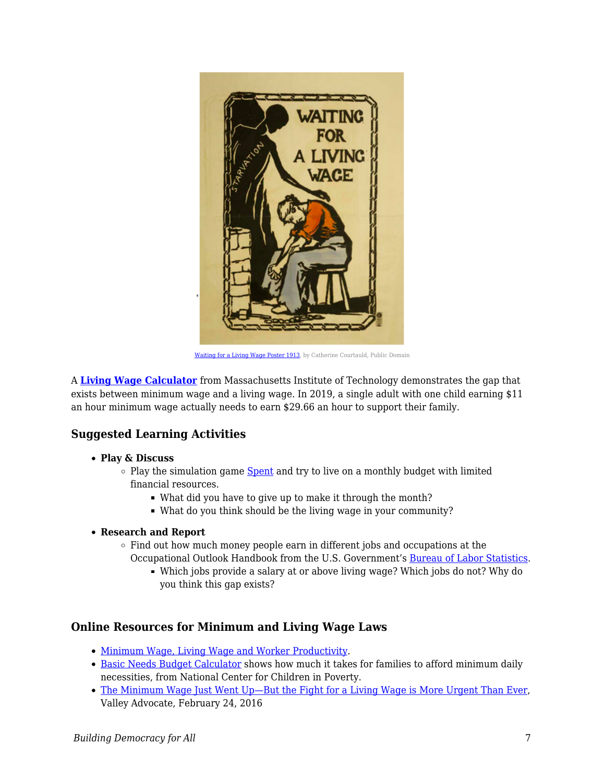

[Waiting for a Living Wage Poster 1913,](https://commons.wikimedia.org/w/index.php?search=living+wage&title=Special%3ASearch&go=Go&ns0=1&ns6=1&ns12=1&ns14=1&ns100=1&ns106=1#/media/File:Waiting_for_a_Living_Wage_Poster_Catherine_Courtauld_1913.jpg) by Catherine Courtauld, Public Domain

A **[Living Wage Calculator](http://livingwage.mit.edu/)** from Massachusetts Institute of Technology demonstrates the gap that exists between minimum wage and a living wage. In 2019, a single adult with one child earning \$11 an hour minimum wage actually needs to earn \$29.66 an hour to support their family.

### **Suggested Learning Activities**

- **Play & Discuss**
	- $\circ$  Play the simulation game [Spent](http://www.playspent.org/) and try to live on a monthly budget with limited financial resources.
		- What did you have to give up to make it through the month?
		- What do you think should be the living wage in your community?
- **Research and Report**
	- $\circ$  Find out how much money people earn in different jobs and occupations at the Occupational Outlook Handbook from the U.S. Government's [Bureau of Labor Statistics](http://www.bls.gov/ooh/).
		- Which jobs provide a salary at or above living wage? Which jobs do not? Why do you think this gap exists?

### **Online Resources for Minimum and Living Wage Laws**

- [Minimum Wage, Living Wage and Worker Productivity.](http://resourcesforhistoryteachers.pbworks.com/w/page/125657102/Minimum%20Wage%2C%20Living%20Wage%20and%20Worker%20Productivity)
- [Basic Needs Budget Calculator](http://www.nccp.org/tools/frs/budget.php) shows how much it takes for families to afford minimum daily necessities, from National Center for Children in Poverty.
- [The Minimum Wage Just Went Up—But the Fight for a Living Wage is More Urgent Than Ever](http://www.valleyadvocate.com/2016/02/24/a-clockwork-wage/), Valley Advocate, February 24, 2016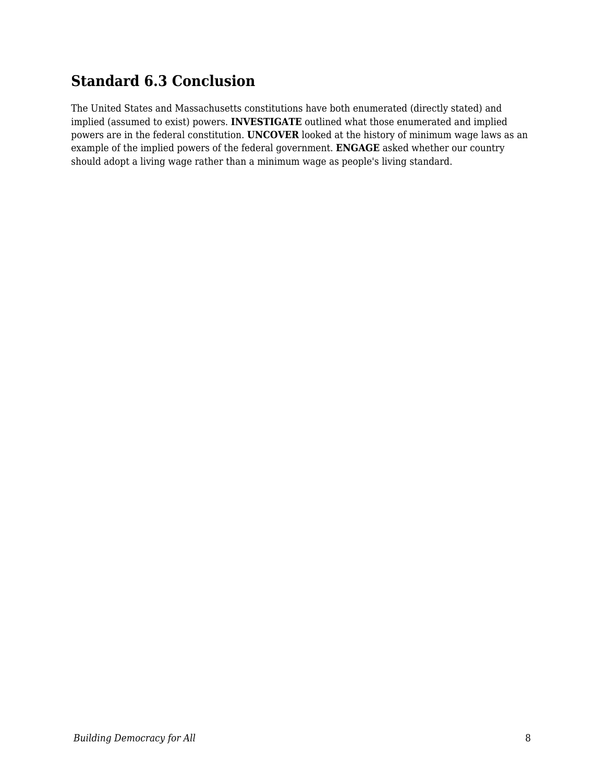## **Standard 6.3 Conclusion**

The United States and Massachusetts constitutions have both enumerated (directly stated) and implied (assumed to exist) powers. **INVESTIGATE** outlined what those enumerated and implied powers are in the federal constitution. **UNCOVER** looked at the history of minimum wage laws as an example of the implied powers of the federal government. **ENGAGE** asked whether our country should adopt a living wage rather than a minimum wage as people's living standard.